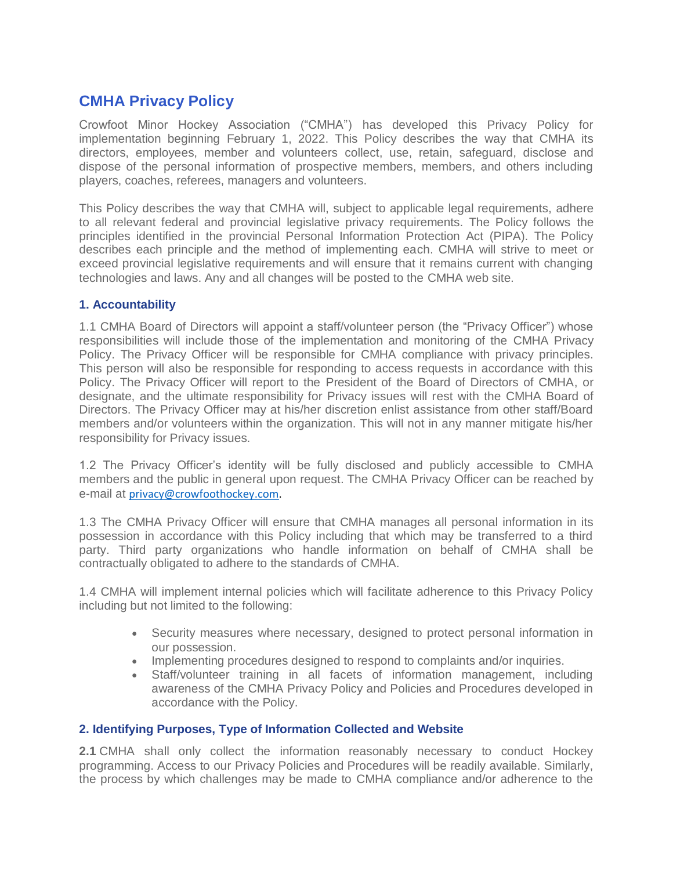# **CMHA Privacy Policy**

Crowfoot Minor Hockey Association ("CMHA") has developed this Privacy Policy for implementation beginning February 1, 2022. This Policy describes the way that CMHA its directors, employees, member and volunteers collect, use, retain, safeguard, disclose and dispose of the personal information of prospective members, members, and others including players, coaches, referees, managers and volunteers.

This Policy describes the way that CMHA will, subject to applicable legal requirements, adhere to all relevant federal and provincial legislative privacy requirements. The Policy follows the principles identified in the provincial Personal Information Protection Act (PIPA). The Policy describes each principle and the method of implementing each. CMHA will strive to meet or exceed provincial legislative requirements and will ensure that it remains current with changing technologies and laws. Any and all changes will be posted to the CMHA web site.

## **1. Accountability**

1.1 CMHA Board of Directors will appoint a staff/volunteer person (the "Privacy Officer") whose responsibilities will include those of the implementation and monitoring of the CMHA Privacy Policy. The Privacy Officer will be responsible for CMHA compliance with privacy principles. This person will also be responsible for responding to access requests in accordance with this Policy. The Privacy Officer will report to the President of the Board of Directors of CMHA, or designate, and the ultimate responsibility for Privacy issues will rest with the CMHA Board of Directors. The Privacy Officer may at his/her discretion enlist assistance from other staff/Board members and/or volunteers within the organization. This will not in any manner mitigate his/her responsibility for Privacy issues.

1.2 The Privacy Officer's identity will be fully disclosed and publicly accessible to CMHA members and the public in general upon request. The CMHA Privacy Officer can be reached by e-mail at [privacy@crowfoothockey.com.](mailto:privacy@crowfoothockey.com)

1.3 The CMHA Privacy Officer will ensure that CMHA manages all personal information in its possession in accordance with this Policy including that which may be transferred to a third party. Third party organizations who handle information on behalf of CMHA shall be contractually obligated to adhere to the standards of CMHA.

1.4 CMHA will implement internal policies which will facilitate adherence to this Privacy Policy including but not limited to the following:

- Security measures where necessary, designed to protect personal information in our possession.
- Implementing procedures designed to respond to complaints and/or inquiries.
- Staff/volunteer training in all facets of information management, including awareness of the CMHA Privacy Policy and Policies and Procedures developed in accordance with the Policy.

## **2. Identifying Purposes, Type of Information Collected and Website**

**2.1** CMHA shall only collect the information reasonably necessary to conduct Hockey programming. Access to our Privacy Policies and Procedures will be readily available. Similarly, the process by which challenges may be made to CMHA compliance and/or adherence to the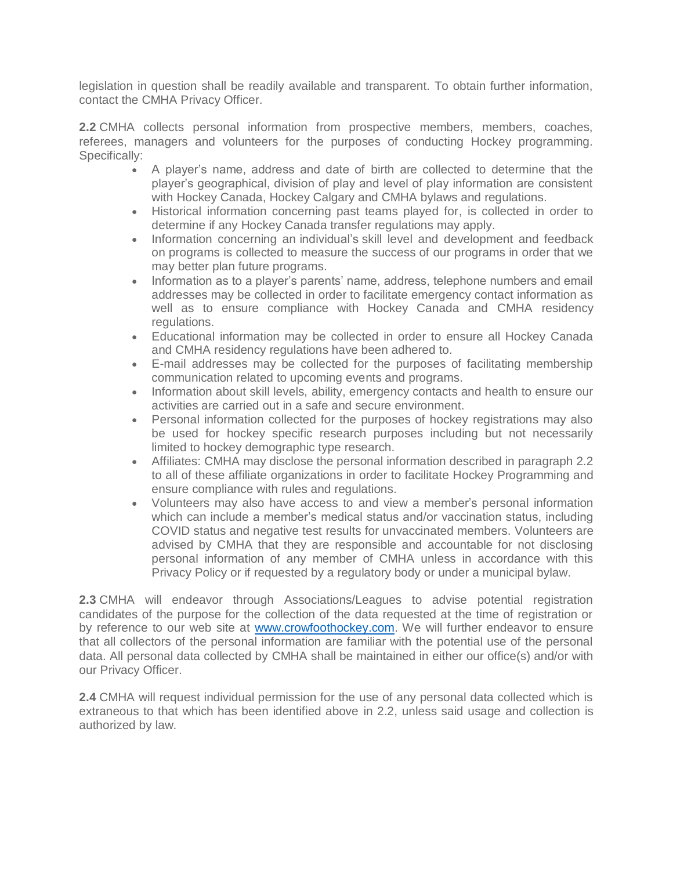legislation in question shall be readily available and transparent. To obtain further information, contact the CMHA Privacy Officer.

**2.2** CMHA collects personal information from prospective members, members, coaches, referees, managers and volunteers for the purposes of conducting Hockey programming. Specifically:

- A player's name, address and date of birth are collected to determine that the player's geographical, division of play and level of play information are consistent with Hockey Canada, Hockey Calgary and CMHA bylaws and regulations.
- Historical information concerning past teams played for, is collected in order to determine if any Hockey Canada transfer regulations may apply.
- Information concerning an individual's skill level and development and feedback on programs is collected to measure the success of our programs in order that we may better plan future programs.
- Information as to a player's parents' name, address, telephone numbers and email addresses may be collected in order to facilitate emergency contact information as well as to ensure compliance with Hockey Canada and CMHA residency regulations.
- Educational information may be collected in order to ensure all Hockey Canada and CMHA residency regulations have been adhered to.
- E-mail addresses may be collected for the purposes of facilitating membership communication related to upcoming events and programs.
- Information about skill levels, ability, emergency contacts and health to ensure our activities are carried out in a safe and secure environment.
- Personal information collected for the purposes of hockey registrations may also be used for hockey specific research purposes including but not necessarily limited to hockey demographic type research.
- Affiliates: CMHA may disclose the personal information described in paragraph 2.2 to all of these affiliate organizations in order to facilitate Hockey Programming and ensure compliance with rules and regulations.
- Volunteers may also have access to and view a member's personal information which can include a member's medical status and/or vaccination status, including COVID status and negative test results for unvaccinated members. Volunteers are advised by CMHA that they are responsible and accountable for not disclosing personal information of any member of CMHA unless in accordance with this Privacy Policy or if requested by a regulatory body or under a municipal bylaw.

**2.3** CMHA will endeavor through Associations/Leagues to advise potential registration candidates of the purpose for the collection of the data requested at the time of registration or by reference to our web site at [www.crowfoothockey.com.](http://www.crowfoothockey.com/) We will further endeavor to ensure that all collectors of the personal information are familiar with the potential use of the personal data. All personal data collected by CMHA shall be maintained in either our office(s) and/or with our Privacy Officer.

**2.4** CMHA will request individual permission for the use of any personal data collected which is extraneous to that which has been identified above in 2.2, unless said usage and collection is authorized by law.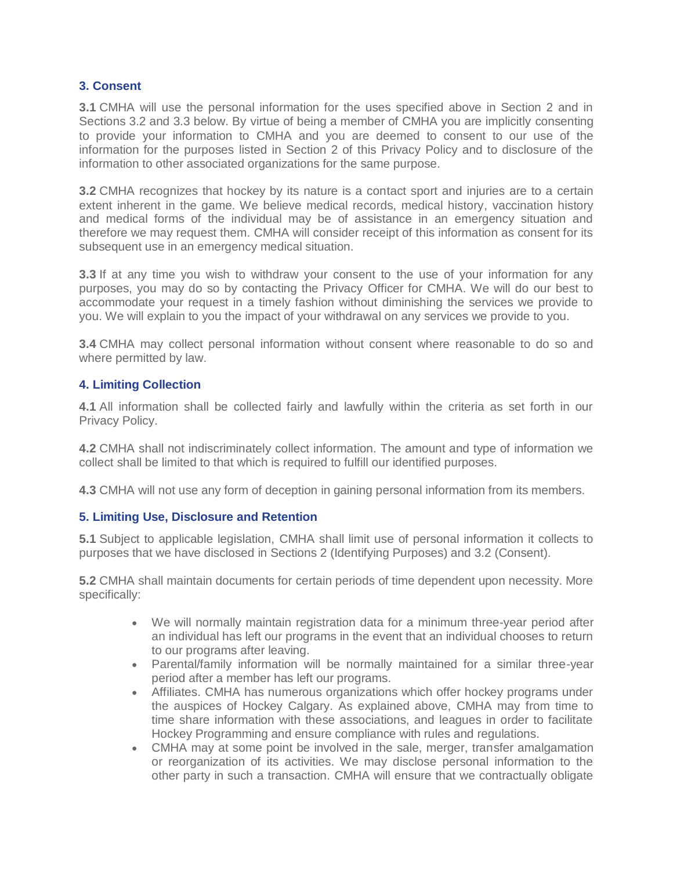## **3. Consent**

**3.1** CMHA will use the personal information for the uses specified above in Section 2 and in Sections 3.2 and 3.3 below. By virtue of being a member of CMHA you are implicitly consenting to provide your information to CMHA and you are deemed to consent to our use of the information for the purposes listed in Section 2 of this Privacy Policy and to disclosure of the information to other associated organizations for the same purpose.

**3.2** CMHA recognizes that hockey by its nature is a contact sport and injuries are to a certain extent inherent in the game. We believe medical records, medical history, vaccination history and medical forms of the individual may be of assistance in an emergency situation and therefore we may request them. CMHA will consider receipt of this information as consent for its subsequent use in an emergency medical situation.

**3.3** If at any time you wish to withdraw your consent to the use of your information for any purposes, you may do so by contacting the Privacy Officer for CMHA. We will do our best to accommodate your request in a timely fashion without diminishing the services we provide to you. We will explain to you the impact of your withdrawal on any services we provide to you.

**3.4** CMHA may collect personal information without consent where reasonable to do so and where permitted by law.

## **4. Limiting Collection**

**4.1** All information shall be collected fairly and lawfully within the criteria as set forth in our Privacy Policy.

**4.2** CMHA shall not indiscriminately collect information. The amount and type of information we collect shall be limited to that which is required to fulfill our identified purposes.

**4.3** CMHA will not use any form of deception in gaining personal information from its members.

## **5. Limiting Use, Disclosure and Retention**

**5.1** Subject to applicable legislation, CMHA shall limit use of personal information it collects to purposes that we have disclosed in Sections 2 (Identifying Purposes) and 3.2 (Consent).

**5.2** CMHA shall maintain documents for certain periods of time dependent upon necessity. More specifically:

- We will normally maintain registration data for a minimum three-year period after an individual has left our programs in the event that an individual chooses to return to our programs after leaving.
- Parental/family information will be normally maintained for a similar three-year period after a member has left our programs.
- Affiliates. CMHA has numerous organizations which offer hockey programs under the auspices of Hockey Calgary. As explained above, CMHA may from time to time share information with these associations, and leagues in order to facilitate Hockey Programming and ensure compliance with rules and regulations.
- CMHA may at some point be involved in the sale, merger, transfer amalgamation or reorganization of its activities. We may disclose personal information to the other party in such a transaction. CMHA will ensure that we contractually obligate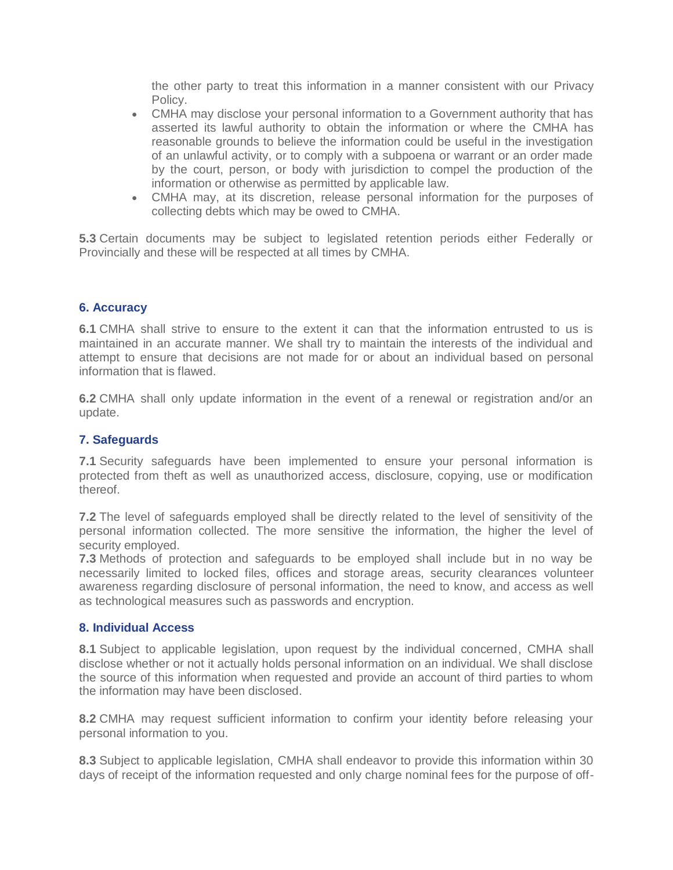the other party to treat this information in a manner consistent with our Privacy Policy.

- CMHA may disclose your personal information to a Government authority that has asserted its lawful authority to obtain the information or where the CMHA has reasonable grounds to believe the information could be useful in the investigation of an unlawful activity, or to comply with a subpoena or warrant or an order made by the court, person, or body with jurisdiction to compel the production of the information or otherwise as permitted by applicable law.
- CMHA may, at its discretion, release personal information for the purposes of collecting debts which may be owed to CMHA.

**5.3** Certain documents may be subject to legislated retention periods either Federally or Provincially and these will be respected at all times by CMHA.

## **6. Accuracy**

**6.1** CMHA shall strive to ensure to the extent it can that the information entrusted to us is maintained in an accurate manner. We shall try to maintain the interests of the individual and attempt to ensure that decisions are not made for or about an individual based on personal information that is flawed.

**6.2** CMHA shall only update information in the event of a renewal or registration and/or an update.

#### **7. Safeguards**

**7.1** Security safeguards have been implemented to ensure your personal information is protected from theft as well as unauthorized access, disclosure, copying, use or modification thereof.

**7.2** The level of safeguards employed shall be directly related to the level of sensitivity of the personal information collected. The more sensitive the information, the higher the level of security employed.

**7.3** Methods of protection and safeguards to be employed shall include but in no way be necessarily limited to locked files, offices and storage areas, security clearances volunteer awareness regarding disclosure of personal information, the need to know, and access as well as technological measures such as passwords and encryption.

#### **8. Individual Access**

**8.1** Subject to applicable legislation, upon request by the individual concerned, CMHA shall disclose whether or not it actually holds personal information on an individual. We shall disclose the source of this information when requested and provide an account of third parties to whom the information may have been disclosed.

**8.2** CMHA may request sufficient information to confirm your identity before releasing your personal information to you.

**8.3** Subject to applicable legislation, CMHA shall endeavor to provide this information within 30 days of receipt of the information requested and only charge nominal fees for the purpose of off